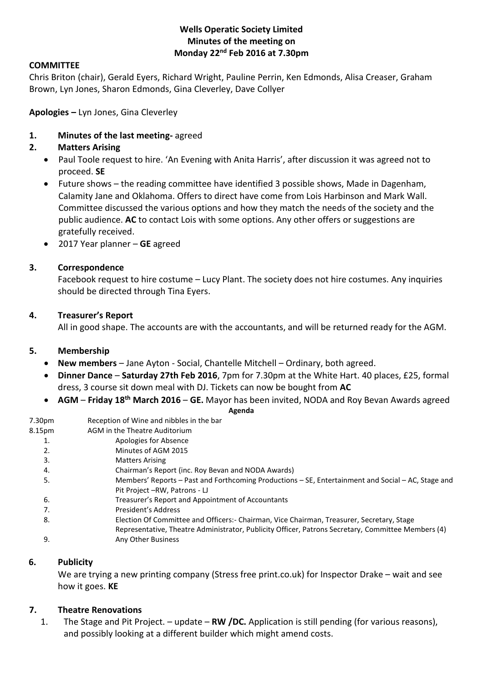## **Wells Operatic Society Limited Minutes of the meeting on Monday 22nd Feb 2016 at 7.30pm**

## **COMMITTEE**

Chris Briton (chair), Gerald Eyers, Richard Wright, Pauline Perrin, Ken Edmonds, Alisa Creaser, Graham Brown, Lyn Jones, Sharon Edmonds, Gina Cleverley, Dave Collyer

**Apologies –** Lyn Jones, Gina Cleverley

#### **1. Minutes of the last meeting-** agreed

#### **2. Matters Arising**

- Paul Toole request to hire. 'An Evening with Anita Harris', after discussion it was agreed not to proceed. **SE**
- Future shows the reading committee have identified 3 possible shows, Made in Dagenham, Calamity Jane and Oklahoma. Offers to direct have come from Lois Harbinson and Mark Wall. Committee discussed the various options and how they match the needs of the society and the public audience. **AC** to contact Lois with some options. Any other offers or suggestions are gratefully received.
- 2017 Year planner **GE** agreed

#### **3. Correspondence**

Facebook request to hire costume – Lucy Plant. The society does not hire costumes. Any inquiries should be directed through Tina Eyers.

#### **4. Treasurer's Report**

All in good shape. The accounts are with the accountants, and will be returned ready for the AGM.

#### **5. Membership**

- **New members** Jane Ayton Social, Chantelle Mitchell Ordinary, both agreed.
- **Dinner Dance Saturday 27th Feb 2016**, 7pm for 7.30pm at the White Hart. 40 places, £25, formal dress, 3 course sit down meal with DJ. Tickets can now be bought from **AC**
- **AGM Friday 18th March 2016 GE.** Mayor has been invited, NODA and Roy Bevan Awards agreed

#### **Agenda**

| 7.30pm | Reception of Wine and nibbles in the bar                                                           |
|--------|----------------------------------------------------------------------------------------------------|
| 8.15pm | AGM in the Theatre Auditorium                                                                      |
| 1.     | Apologies for Absence                                                                              |
| 2.     | Minutes of AGM 2015                                                                                |
| 3.     | <b>Matters Arising</b>                                                                             |
| 4.     | Chairman's Report (inc. Roy Bevan and NODA Awards)                                                 |
| 5.     | Members' Reports - Past and Forthcoming Productions - SE, Entertainment and Social - AC, Stage and |
|        | Pit Project – RW, Patrons - LJ                                                                     |
| 6.     | Treasurer's Report and Appointment of Accountants                                                  |
| 7.     | President's Address                                                                                |
| 8.     | Election Of Committee and Officers: - Chairman, Vice Chairman, Treasurer, Secretary, Stage         |
|        | Representative, Theatre Administrator, Publicity Officer, Patrons Secretary, Committee Members (4) |
| 9.     | Any Other Business                                                                                 |
|        |                                                                                                    |

## **6. Publicity**

We are trying a new printing company (Stress free print.co.uk) for Inspector Drake – wait and see how it goes. **KE**

## **7. Theatre Renovations**

1. The Stage and Pit Project. – update – **RW /DC.** Application is still pending (for various reasons), and possibly looking at a different builder which might amend costs.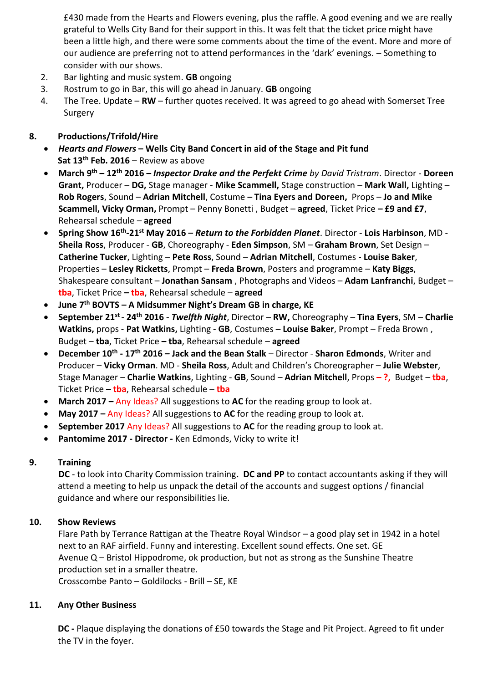£430 made from the Hearts and Flowers evening, plus the raffle. A good evening and we are really grateful to Wells City Band for their support in this. It was felt that the ticket price might have been a little high, and there were some comments about the time of the event. More and more of our audience are preferring not to attend performances in the 'dark' evenings. – Something to consider with our shows.

- 2. Bar lighting and music system. **GB** ongoing
- 3. Rostrum to go in Bar, this will go ahead in January. **GB** ongoing
- 4. The Tree. Update **RW** further quotes received. It was agreed to go ahead with Somerset Tree Surgery

# **8. Productions/Trifold/Hire**

- *Hearts and Flowers* **– Wells City Band Concert in aid of the Stage and Pit fund Sat 13th Feb. 2016** – Review as above
- **March 9 th – 12th 2016 –** *Inspector Drake and the Perfekt Crime by David Tristram*. Director **Doreen Grant,** Producer – **DG,** Stage manager - **Mike Scammell,** Stage construction – **Mark Wall,** Lighting – **Rob Rogers**, Sound – **Adrian Mitchell**, Costume **– Tina Eyers and Doreen,** Props – **Jo and Mike Scammell, Vicky Orman,** Prompt – Penny Bonetti , Budget – **agreed**, Ticket Price **– £9 and £7**, Rehearsal schedule – **agreed**
- **Spring Show 16th -21st May 2016 –** *Return to the Forbidden Planet*. Director **Lois Harbinson**, MD **Sheila Ross**, Producer - **GB**, Choreography - **Eden Simpson**, SM – **Graham Brown**, Set Design – **Catherine Tucker**, Lighting – **Pete Ross**, Sound – **Adrian Mitchell**, Costumes - **Louise Baker**, Properties – **Lesley Ricketts**, Prompt – **Freda Brown**, Posters and programme – **Katy Biggs**, Shakespeare consultant – **Jonathan Sansam** , Photographs and Videos – **Adam Lanfranchi**, Budget – **tba**, Ticket Price **– tba**, Rehearsal schedule – **agreed**
- **June 7th BOVTS – A Midsummer Night's Dream GB in charge, KE**
- **September 21st - 24th 2016 -** *Twelfth Night*, Director **RW,** Choreography **Tina Eyers**, SM **Charlie Watkins,** props - **Pat Watkins,** Lighting - **GB**, Costumes **– Louise Baker**, Prompt – Freda Brown , Budget – **tba**, Ticket Price **– tba**, Rehearsal schedule – **agreed**
- **December 10th - 17th 2016 – Jack and the Bean Stalk** Director **Sharon Edmonds**, Writer and Producer – **Vicky Orman**. MD - **Sheila Ross**, Adult and Children's Choreographer – **Julie Webster**, Stage Manager – **Charlie Watkins**, Lighting - **GB**, Sound – **Adrian Mitchell**, Props **– ?,** Budget – **tba**, Ticket Price **– tba**, Rehearsal schedule – **tba**
- **March 2017 –** Any Ideas? All suggestions to **AC** for the reading group to look at.
- **May 2017 –** Any Ideas? All suggestions to **AC** for the reading group to look at.
- **September 2017** Any Ideas? All suggestions to **AC** for the reading group to look at.
- **Pantomime 2017 - Director -** Ken Edmonds, Vicky to write it!

## **9. Training**

**DC** - to look into Charity Commission training**. DC and PP** to contact accountants asking if they will attend a meeting to help us unpack the detail of the accounts and suggest options / financial guidance and where our responsibilities lie.

# **10. Show Reviews**

Flare Path by Terrance Rattigan at the Theatre Royal Windsor – a good play set in 1942 in a hotel next to an RAF airfield. Funny and interesting. Excellent sound effects. One set. GE Avenue Q – Bristol Hippodrome, ok production, but not as strong as the Sunshine Theatre production set in a smaller theatre.

Crosscombe Panto – Goldilocks - Brill – SE, KE

## **11. Any Other Business**

**DC -** Plaque displaying the donations of £50 towards the Stage and Pit Project. Agreed to fit under the TV in the foyer.